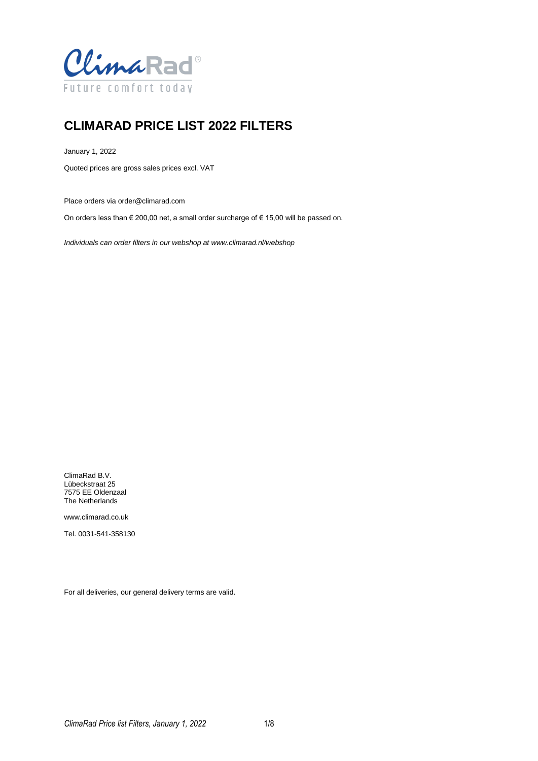

## **CLIMARAD PRICE LIST 2022 FILTERS**

January 1, 2022

Quoted prices are gross sales prices excl. VAT

Place orders via order@climarad.com

On orders less than € 200,00 net, a small order surcharge of € 15,00 will be passed on.

*Individuals can order filters in our webshop at www.climarad.nl/webshop*

ClimaRad B.V. Lübeckstraat 25 7575 EE Oldenzaal The Netherlands

www.climarad.co.uk

Tel. 0031-541-358130

For all deliveries, our general delivery terms are valid.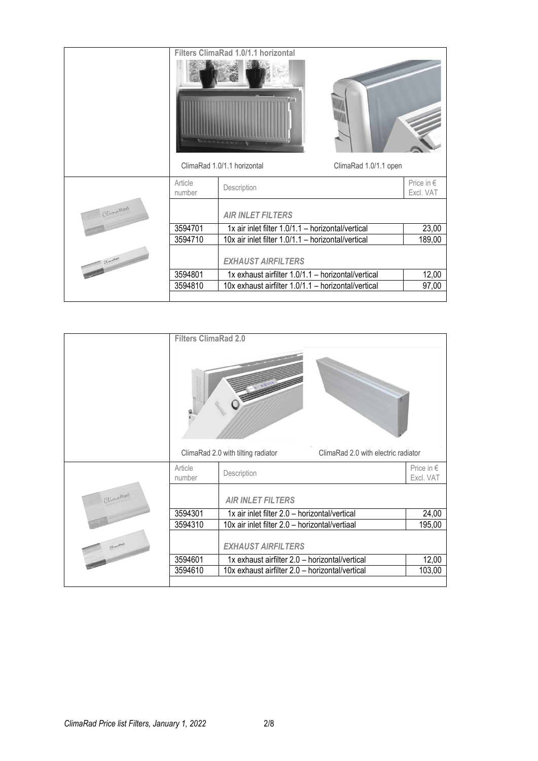|           |                   | Filters ClimaRad 1.0/1.1 horizontal                  |                                  |
|-----------|-------------------|------------------------------------------------------|----------------------------------|
|           |                   | die                                                  |                                  |
|           |                   | ClimaRad 1.0/1.1 horizontal<br>ClimaRad 1.0/1.1 open |                                  |
|           | Article<br>number | Description                                          | Price in $\epsilon$<br>Excl. VAT |
| ClimaRad  |                   | <b>AIR INLET FILTERS</b>                             |                                  |
|           | 3594701           | 1x air inlet filter 1.0/1.1 - horizontal/vertical    | 23,00                            |
|           | 3594710           | 10x air inlet filter 1.0/1.1 - horizontal/vertical   | 189,00                           |
| Climatead |                   | <b>EXHAUST AIRFILTERS</b>                            |                                  |
|           | 3594801           | 1x exhaust airfilter 1.0/1.1 - horizontal/vertical   | 12,00                            |
|           | 3594810           | 10x exhaust airfilter 1.0/1.1 - horizontal/vertical  | 97,00                            |
|           |                   |                                                      |                                  |

|         | <b>Filters ClimaRad 2.0</b> |                                                                           |                                  |
|---------|-----------------------------|---------------------------------------------------------------------------|----------------------------------|
|         |                             | ClimaRad 2.0 with tilting radiator<br>ClimaRad 2.0 with electric radiator |                                  |
|         | Article<br>number           | Description                                                               | Price in $\epsilon$<br>Excl. VAT |
| UimaRad |                             | <b>AIR INLET FILTERS</b>                                                  |                                  |
|         | 3594301                     | 1x air inlet filter 2.0 - horizontal/vertical                             | 24,00                            |
|         | 3594310                     | 10x air inlet filter 2.0 - horizontal/vertiaal                            | 195,00                           |
|         |                             | <b>EXHAUST AIRFILTERS</b>                                                 |                                  |
|         | 3594601                     | 1x exhaust airfilter 2.0 - horizontal/vertical                            | 12,00                            |
|         | 3594610                     | 10x exhaust airfilter 2.0 - horizontal/vertical                           | 103,00                           |
|         |                             |                                                                           |                                  |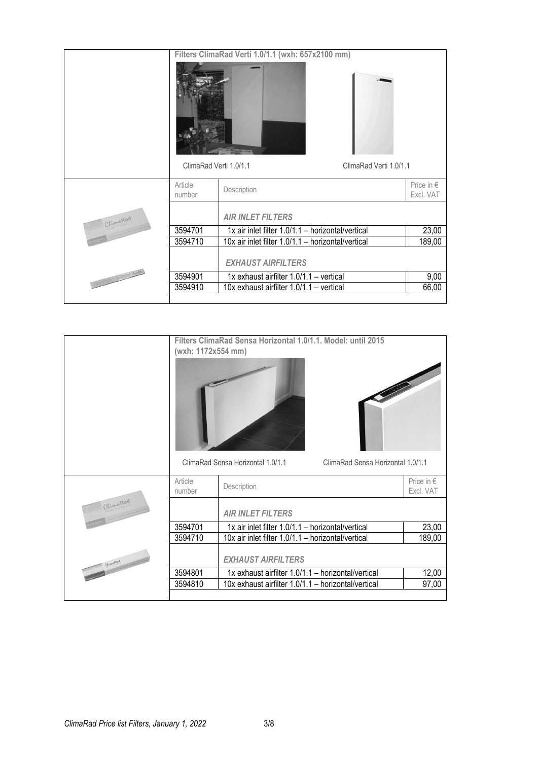|                                                                                                                                                                                                                                                                                                                                                                                                                                                           |                        | Filters ClimaRad Verti 1.0/1.1 (wxh: 657x2100 mm)  |                                  |
|-----------------------------------------------------------------------------------------------------------------------------------------------------------------------------------------------------------------------------------------------------------------------------------------------------------------------------------------------------------------------------------------------------------------------------------------------------------|------------------------|----------------------------------------------------|----------------------------------|
|                                                                                                                                                                                                                                                                                                                                                                                                                                                           |                        |                                                    |                                  |
|                                                                                                                                                                                                                                                                                                                                                                                                                                                           | ClimaRad Verti 1.0/1.1 | ClimaRad Verti 1.0/1.1                             |                                  |
|                                                                                                                                                                                                                                                                                                                                                                                                                                                           | Article<br>number      | Description                                        | Price in $\epsilon$<br>Excl. VAT |
| ClimaRad                                                                                                                                                                                                                                                                                                                                                                                                                                                  |                        | <b>AIR INLET FILTERS</b>                           |                                  |
|                                                                                                                                                                                                                                                                                                                                                                                                                                                           | 3594701                | 1x air inlet filter 1.0/1.1 - horizontal/vertical  | 23,00                            |
|                                                                                                                                                                                                                                                                                                                                                                                                                                                           | 3594710                | 10x air inlet filter 1.0/1.1 - horizontal/vertical | 189,00                           |
|                                                                                                                                                                                                                                                                                                                                                                                                                                                           |                        | <b>EXHAUST AIRFILTERS</b>                          |                                  |
| $\frac{1}{\left  \frac{1}{\left  \frac{1}{\left( \frac{1}{\left  \frac{1}{\left( \frac{1}{\left  \frac{1}{\left  \frac{1}{\left( \frac{1}{\left  \frac{1}{\left  \frac{1}{\left  \frac{1}{\left  \frac{1}{\left  \frac{1}{\left  \frac{1}{\left  \frac{1}{\left  \frac{1}{\left  \frac{1}{\left  \frac{1}{\left  \frac{1}{\left  \frac{1}{\left  \frac{1}{\left  \frac{1}{\left  \frac{1}{\left  \frac{1}{\left  \frac{1}{\left  \frac{1}{\left  \frac{1$ | 3594901                | 1x exhaust airfilter 1.0/1.1 - vertical            | 9,00                             |
|                                                                                                                                                                                                                                                                                                                                                                                                                                                           | 3594910                | 10x exhaust airfilter 1.0/1.1 - vertical           | 66,00                            |
|                                                                                                                                                                                                                                                                                                                                                                                                                                                           |                        |                                                    |                                  |

|           | Filters ClimaRad Sensa Horizontal 1.0/1.1. Model: until 2015<br>(wxh: 1172x554 mm)<br>ClimaRad Sensa Horizontal 1.0/1.1<br>ClimaRad Sensa Horizontal 1.0/1.1 |                                                     |                             |  |
|-----------|--------------------------------------------------------------------------------------------------------------------------------------------------------------|-----------------------------------------------------|-----------------------------|--|
|           | Article<br>number                                                                                                                                            | Description                                         | Price in $\in$<br>Excl. VAT |  |
| ClimaRad  |                                                                                                                                                              | <b>AIR INLET FILTERS</b>                            |                             |  |
|           | 3594701                                                                                                                                                      | 1x air inlet filter 1.0/1.1 - horizontal/vertical   | 23,00                       |  |
|           | 3594710                                                                                                                                                      | 10x air inlet filter 1.0/1.1 - horizontal/vertical  | 189,00                      |  |
| Climation |                                                                                                                                                              | <b>EXHAUST AIRFILTERS</b>                           |                             |  |
|           | 3594801                                                                                                                                                      | 1x exhaust airfilter 1.0/1.1 - horizontal/vertical  | 12,00                       |  |
|           | 3594810                                                                                                                                                      | 10x exhaust airfilter 1.0/1.1 - horizontal/vertical | 97,00                       |  |
|           |                                                                                                                                                              |                                                     |                             |  |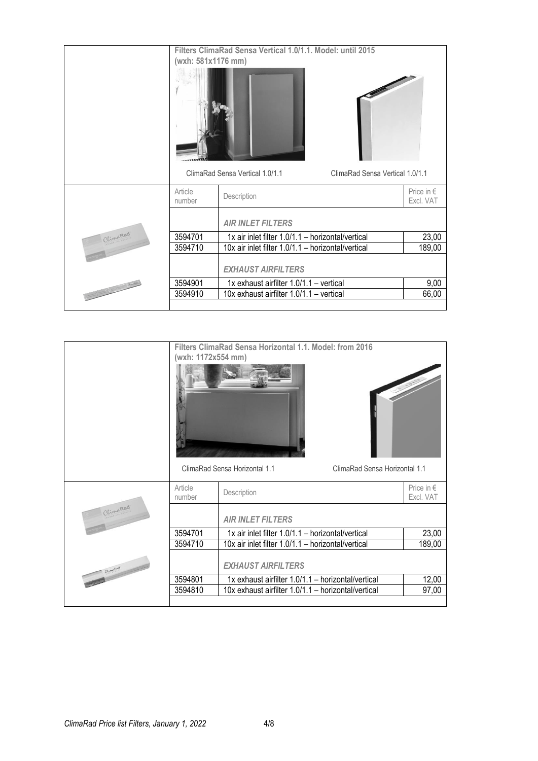|                                                                                                                                                                                                                                                                                                                                                                                                                                   |                    | Filters ClimaRad Sensa Vertical 1.0/1.1. Model: until 2015         |                         |
|-----------------------------------------------------------------------------------------------------------------------------------------------------------------------------------------------------------------------------------------------------------------------------------------------------------------------------------------------------------------------------------------------------------------------------------|--------------------|--------------------------------------------------------------------|-------------------------|
|                                                                                                                                                                                                                                                                                                                                                                                                                                   | (wxh: 581x1176 mm) |                                                                    |                         |
|                                                                                                                                                                                                                                                                                                                                                                                                                                   |                    |                                                                    |                         |
|                                                                                                                                                                                                                                                                                                                                                                                                                                   |                    | ClimaRad Sensa Vertical 1.0/1.1<br>ClimaRad Sensa Vertical 1.0/1.1 |                         |
|                                                                                                                                                                                                                                                                                                                                                                                                                                   | Article<br>number  | Description                                                        | Price in €<br>Excl. VAT |
|                                                                                                                                                                                                                                                                                                                                                                                                                                   |                    | <b>AIR INLET FILTERS</b>                                           |                         |
| ClimaRad                                                                                                                                                                                                                                                                                                                                                                                                                          | 3594701            | 1x air inlet filter 1.0/1.1 - horizontal/vertical                  | 23,00                   |
|                                                                                                                                                                                                                                                                                                                                                                                                                                   | 3594710            | 10x air inlet filter 1.0/1.1 - horizontal/vertical                 | 189,00                  |
|                                                                                                                                                                                                                                                                                                                                                                                                                                   |                    | <b>EXHAUST AIRFILTERS</b>                                          |                         |
| $\frac{1}{\sqrt{1-\frac{1}{\sqrt{1-\frac{1}{\sqrt{1-\frac{1}{\sqrt{1-\frac{1}{\sqrt{1-\frac{1}{\sqrt{1-\frac{1}{\sqrt{1-\frac{1}{\sqrt{1-\frac{1}{\sqrt{1-\frac{1}{\sqrt{1-\frac{1}{\sqrt{1-\frac{1}{\sqrt{1-\frac{1}{\sqrt{1-\frac{1}{\sqrt{1-\frac{1}{\sqrt{1-\frac{1}{\sqrt{1-\frac{1}{\sqrt{1-\frac{1}{\sqrt{1-\frac{1}{\sqrt{1+\frac{1}{\sqrt{1+\frac{1}{\sqrt{1+\frac{1}{\sqrt{1+\frac{1}{\sqrt{1+\frac{1}{\sqrt{1+\frac{1$ | 3594901            | 1x exhaust airfilter 1.0/1.1 - vertical                            | 9,00                    |
|                                                                                                                                                                                                                                                                                                                                                                                                                                   | 3594910            | 10x exhaust airfilter 1.0/1.1 - vertical                           | 66,00                   |
|                                                                                                                                                                                                                                                                                                                                                                                                                                   |                    |                                                                    |                         |

|          | (wxh: 1172x554 mm) | Filters ClimaRad Sensa Horizontal 1.1. Model: from 2016        |                             |
|----------|--------------------|----------------------------------------------------------------|-----------------------------|
|          |                    | ClimaRad Sensa Horizontal 1.1<br>ClimaRad Sensa Horizontal 1.1 |                             |
|          | Article<br>number  | Description                                                    | Price in $\in$<br>Excl. VAT |
| ClimaRad |                    | <b>AIR INLET FILTERS</b>                                       |                             |
|          | 3594701            | 1x air inlet filter 1.0/1.1 - horizontal/vertical              | 23,00                       |
|          | 3594710            | 10x air inlet filter 1.0/1.1 - horizontal/vertical             | 189,00                      |
|          |                    | <b>EXHAUST AIRFILTERS</b>                                      |                             |
|          | 3594801            | 1x exhaust airfilter 1.0/1.1 - horizontal/vertical             | 12,00                       |
|          | 3594810            | 10x exhaust airfilter 1.0/1.1 - horizontal/vertical            | 97,00                       |
|          |                    |                                                                |                             |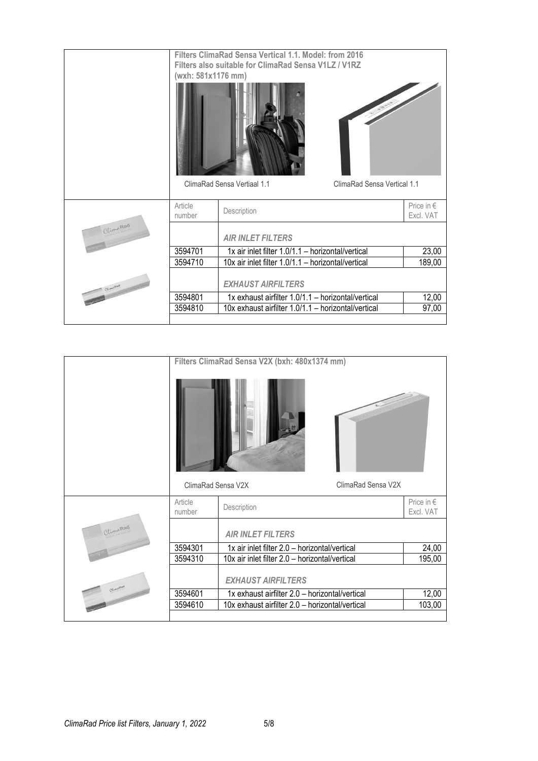|           | (wxh: 581x1176 mm) | Filters ClimaRad Sensa Vertical 1.1. Model: from 2016<br>Filters also suitable for ClimaRad Sensa V1LZ / V1RZ |                                  |
|-----------|--------------------|---------------------------------------------------------------------------------------------------------------|----------------------------------|
|           |                    | ClimaRad Sensa Vertiaal 1.1<br>ClimaRad Sensa Vertical 1.1                                                    |                                  |
|           | Article<br>number  | Description                                                                                                   | Price in $\epsilon$<br>Excl. VAT |
| ClimaRad  |                    | <b>AIR INLET FILTERS</b>                                                                                      |                                  |
|           | 3594701            | 1x air inlet filter 1.0/1.1 - horizontal/vertical                                                             | 23,00                            |
|           | 3594710            | 10x air inlet filter 1.0/1.1 - horizontal/vertical                                                            | 189,00                           |
| Climation |                    | <b>EXHAUST AIRFILTERS</b>                                                                                     |                                  |
|           | 3594801            | 1x exhaust airfilter 1.0/1.1 - horizontal/vertical                                                            | 12,00                            |
|           | 3594810            | 10x exhaust airfilter 1.0/1.1 - horizontal/vertical                                                           | 97,00                            |
|           |                    |                                                                                                               |                                  |

|          |                    | Filters ClimaRad Sensa V2X (bxh: 480x1374 mm)   |                    |                         |
|----------|--------------------|-------------------------------------------------|--------------------|-------------------------|
|          |                    |                                                 |                    |                         |
|          | ClimaRad Sensa V2X |                                                 | ClimaRad Sensa V2X |                         |
|          | Article<br>number  | Description                                     |                    | Price in €<br>Excl. VAT |
| UlimaRad |                    | <b>AIR INLET FILTERS</b>                        |                    |                         |
|          | 3594301            | 1x air inlet filter 2.0 - horizontal/vertical   |                    | 24,00                   |
|          | 3594310            | 10x air inlet filter 2.0 - horizontal/vertical  |                    | 195,00                  |
|          |                    | <b>EXHAUST AIRFILTERS</b>                       |                    |                         |
|          | 3594601            | 1x exhaust airfilter 2.0 - horizontal/vertical  |                    | 12,00                   |
|          | 3594610            | 10x exhaust airfilter 2.0 - horizontal/vertical |                    | 103,00                  |
|          |                    |                                                 |                    |                         |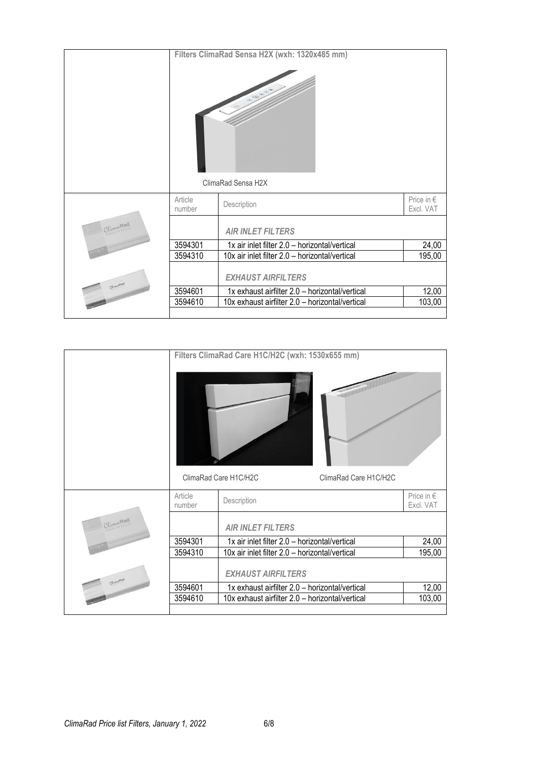|      |                   | Filters ClimaRad Sensa H2X (wxh: 1320x485 mm)<br>$\mathfrak{S}^{\circledast}$<br>$\infty$ |                                  |
|------|-------------------|-------------------------------------------------------------------------------------------|----------------------------------|
|      |                   | ClimaRad Sensa H2X                                                                        |                                  |
|      | Article<br>number | Description                                                                               | Price in $\epsilon$<br>Excl. VAT |
| ARad |                   | <b>AIR INLET FILTERS</b>                                                                  |                                  |
|      | 3594301           | 1x air inlet filter 2.0 - horizontal/vertical                                             | 24,00                            |
|      | 3594310           | 10x air inlet filter 2.0 - horizontal/vertical                                            | 195,00                           |
|      |                   | <b>EXHAUST AIRFILTERS</b>                                                                 |                                  |
|      | 3594601           | 1x exhaust airfilter 2.0 - horizontal/vertical                                            | 12,00                            |
|      | 3594610           | 10x exhaust airfilter 2.0 - horizontal/vertical                                           | 103,00                           |
|      |                   |                                                                                           |                                  |

|         |                   | Filters ClimaRad Care H1C/H2C (wxh: 1530x655 mm) |                                  |
|---------|-------------------|--------------------------------------------------|----------------------------------|
|         |                   | ClimaRad Care H1C/H2C<br>ClimaRad Care H1C/H2C   |                                  |
|         | Article<br>number | Description                                      | Price in $\epsilon$<br>Excl. VAT |
| UimaRad |                   | <b>AIR INLET FILTERS</b>                         |                                  |
|         | 3594301           | 1x air inlet filter 2.0 - horizontal/vertical    | 24,00                            |
|         | 3594310           | 10x air inlet filter 2.0 - horizontal/vertical   | 195,00                           |
|         |                   | <b>EXHAUST AIRFILTERS</b>                        |                                  |
|         | 3594601           | 1x exhaust airfilter 2.0 - horizontal/vertical   | 12,00                            |
|         | 3594610           | 10x exhaust airfilter 2.0 - horizontal/vertical  | 103,00                           |
|         |                   |                                                  |                                  |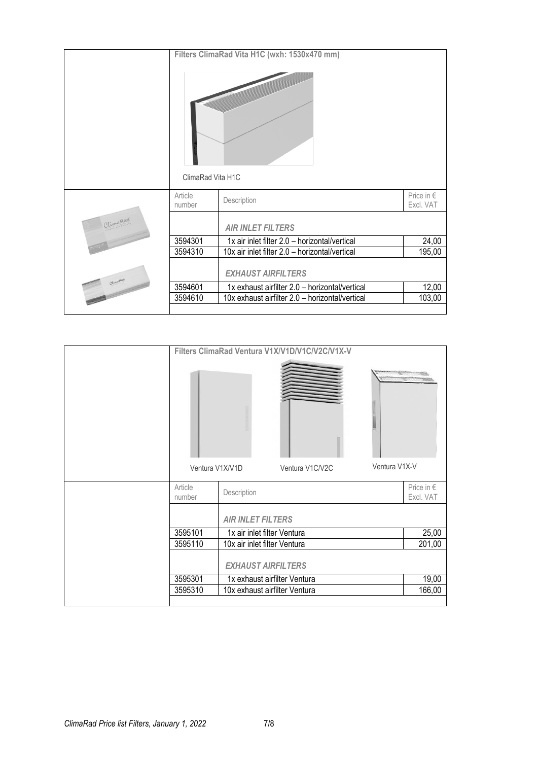|                   | Filters ClimaRad Vita H1C (wxh: 1530x470 mm)    |                         |
|-------------------|-------------------------------------------------|-------------------------|
| ClimaRad Vita H1C |                                                 |                         |
| Article<br>number | Description                                     | Price in €<br>Excl. VAT |
|                   | <b>AIR INLET FILTERS</b>                        |                         |
| 3594301           | 1x air inlet filter 2.0 - horizontal/vertical   | 24,00                   |
| 3594310           | 10x air inlet filter 2.0 - horizontal/vertical  | 195,00                  |
|                   | <b>EXHAUST AIRFILTERS</b>                       |                         |
| 3594601           | 1x exhaust airfilter 2.0 - horizontal/vertical  | 12,00                   |
| 3594610           | 10x exhaust airfilter 2.0 - horizontal/vertical | 103,00                  |
|                   |                                                 |                         |